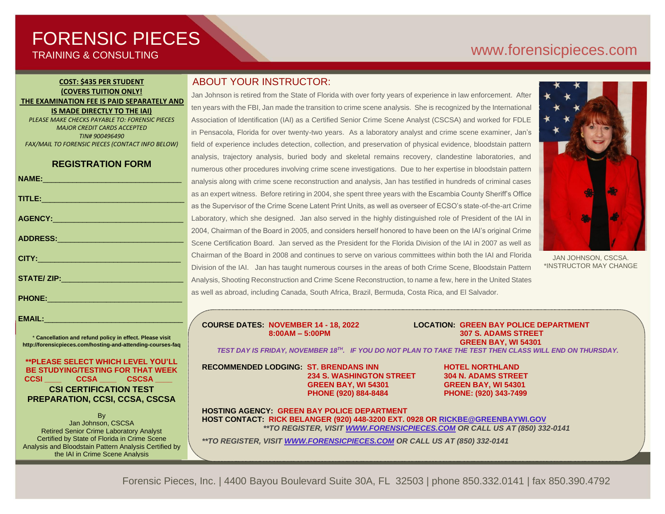# FORENSIC PIECES TRAINING & CONSULTING

# [www.forensicp](http://www.forensic/)ieces.com

#### **COST: \$435 PER STUDENT (COVERS TUITION ONLY! THE EXAMINATION FEE IS PAID SEPARATELY AND IS MADE DIRECTLY TO THE IAI)** *PLEASE MAKE CHECKS PAYABLE TO: FORENSIC PIECES*

*MAJOR CREDIT CARDS ACCEPTED TIN# 900496490 FAX/MAIL TO FORENSIC PIECES (CONTACT INFO BELOW)*

## **REGISTRATION FORM**

|                                                                                   | a                                      |
|-----------------------------------------------------------------------------------|----------------------------------------|
|                                                                                   | a                                      |
|                                                                                   | a                                      |
|                                                                                   | $\begin{array}{c} \square \end{array}$ |
|                                                                                   | $\overline{c}$                         |
| ADDRESS:__________________________________                                        | S                                      |
| <b>CITY: CITY: CITY: CITY:</b>                                                    | $\overline{C}$                         |
|                                                                                   | г.<br>П                                |
|                                                                                   | $\overline{\mathbb{A}}$                |
|                                                                                   | a                                      |
| PHONE: 2008 2010 2021 2022 2023 2024 2022 2023 2024 2022 2023 2024 2022 2023 2024 |                                        |

\* **Cancellation and refund policy in effect. Please visit http://forensicpieces.com/hosting-and-attending-courses-faq**

**EMAIL:**\_\_\_\_\_\_\_\_\_\_\_\_\_\_\_\_\_\_\_\_\_\_\_\_\_\_\_\_\_\_\_\_\_

**\*\*PLEASE SELECT WHICH LEVEL YOU'LL BE STUDYING/TESTING FOR THAT WEEK CCSI \_\_\_\_ CCSA \_\_\_\_ CSCSA \_\_\_\_ CSI CERTIFICATION TEST PREPARATION, CCSI, CCSA, CSCSA**

**B** Jan Johnson, CSCSA Retired Senior Crime Laboratory Analyst Certified by State of Florida in Crime Scene Analysis and Bloodstain Pattern Analysis Certified by the IAI in Crime Scene Analysis

President of Forensic Pieces, Inc.

## ABOUT YOUR INSTRUCTOR:

Jan Johnson is retired from the State of Florida with over forty years of experience in law enforcement. After ten years with the FBI, Jan made the transition to crime scene analysis. She is recognized by the International Association of Identification (IAI) as a Certified Senior Crime Scene Analyst (CSCSA) and worked for FDLE in Pensacola, Florida for over twenty-two years. As a laboratory analyst and crime scene examiner, Jan's field of experience includes detection, collection, and preservation of physical evidence, bloodstain pattern analysis, trajectory analysis, buried body and skeletal remains recovery, clandestine laboratories, and numerous other procedures involving crime scene investigations. Due to her expertise in bloodstain pattern analysis along with crime scene reconstruction and analysis, Jan has testified in hundreds of criminal cases as an expert witness. Before retiring in 2004, she spent three years with the Escambia County Sheriff's Office as the Supervisor of the Crime Scene Latent Print Units, as well as overseer of ECSO's state-of-the-art Crime Laboratory, which she designed. Jan also served in the highly distinguished role of President of the IAI in 2004, Chairman of the Board in 2005, and considers herself honored to have been on the IAI's original Crime Scene Certification Board. Jan served as the President for the Florida Division of the IAI in 2007 as well as Chairman of the Board in 2008 and continues to serve on various committees within both the IAI and Florida Division of the IAI. Jan has taught numerous courses in the areas of both Crime Scene, Bloodstain Pattern Analysis, Shooting Reconstruction and Crime Scene Reconstruction, to name a few, here in the United States as well as abroad, including Canada, South Africa, Brazil, Bermuda, Costa Rica, and El Salvador.



JAN JOHNSON, CSCSA. \*INSTRUCTOR MAY CHANGE

**COURSE DATES: NOVEMBER 14 - 18, 2022 LOCATION: GREEN BAY POLICE DEPARTMENT 307 S. ADAMS STREET GREEN BAY, WI 54301**  *TEST DAY IS FRIDAY, NOVEMBER 18TH . IF YOU DO NOT PLAN TO TAKE THE TEST THEN CLASS WILL END ON THURSDAY.*

**RECOMMENDED LODGING: ST. BRENDANS INN HOTEL NORTHLAND 234 S. WASHINGTON STREET 304 N. ADAMS STREET GREEN BAY, WI 54301 GREEN BAY, WI 54301 PHONE (920) 884-8484 PHONE: (920) 343-7499**

**HOSTING AGENCY: GREEN BAY POLICE DEPARTMENT HOST CONTACT: RICK BELANGER (920) 448-3200 EXT. 0928 OR RICKBE@GREENBAYWI.GOV** *\*\*TO REGISTER, VISI[T WWW.FORENSICPIECES.COM](http://www.forensicpieces.com/) OR CALL US AT (850) 332-0141*

*\*\*TO REGISTER, VISI[T WWW.FORENSICPIECES.COM](http://www.forensicpieces.com/) OR CALL US AT (850) 332-0141*

Forensic Pieces, Inc. | 4400 Bayou Boulevard Suite 30A, FL 32503 | phone 850.332.0141 | fax 850.390.4792